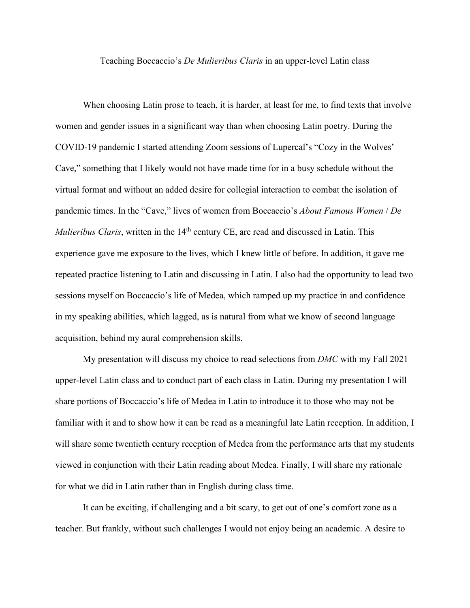Teaching Boccaccio's *De Mulieribus Claris* in an upper-level Latin class

When choosing Latin prose to teach, it is harder, at least for me, to find texts that involve women and gender issues in a significant way than when choosing Latin poetry. During the COVID-19 pandemic I started attending Zoom sessions of Lupercal's "Cozy in the Wolves' Cave," something that I likely would not have made time for in a busy schedule without the virtual format and without an added desire for collegial interaction to combat the isolation of pandemic times. In the "Cave," lives of women from Boccaccio's *About Famous Women* / *De Mulieribus Claris*, written in the 14<sup>th</sup> century CE, are read and discussed in Latin. This experience gave me exposure to the lives, which I knew little of before. In addition, it gave me repeated practice listening to Latin and discussing in Latin. I also had the opportunity to lead two sessions myself on Boccaccio's life of Medea, which ramped up my practice in and confidence in my speaking abilities, which lagged, as is natural from what we know of second language acquisition, behind my aural comprehension skills.

My presentation will discuss my choice to read selections from *DMC* with my Fall 2021 upper-level Latin class and to conduct part of each class in Latin. During my presentation I will share portions of Boccaccio's life of Medea in Latin to introduce it to those who may not be familiar with it and to show how it can be read as a meaningful late Latin reception. In addition, I will share some twentieth century reception of Medea from the performance arts that my students viewed in conjunction with their Latin reading about Medea. Finally, I will share my rationale for what we did in Latin rather than in English during class time.

It can be exciting, if challenging and a bit scary, to get out of one's comfort zone as a teacher. But frankly, without such challenges I would not enjoy being an academic. A desire to